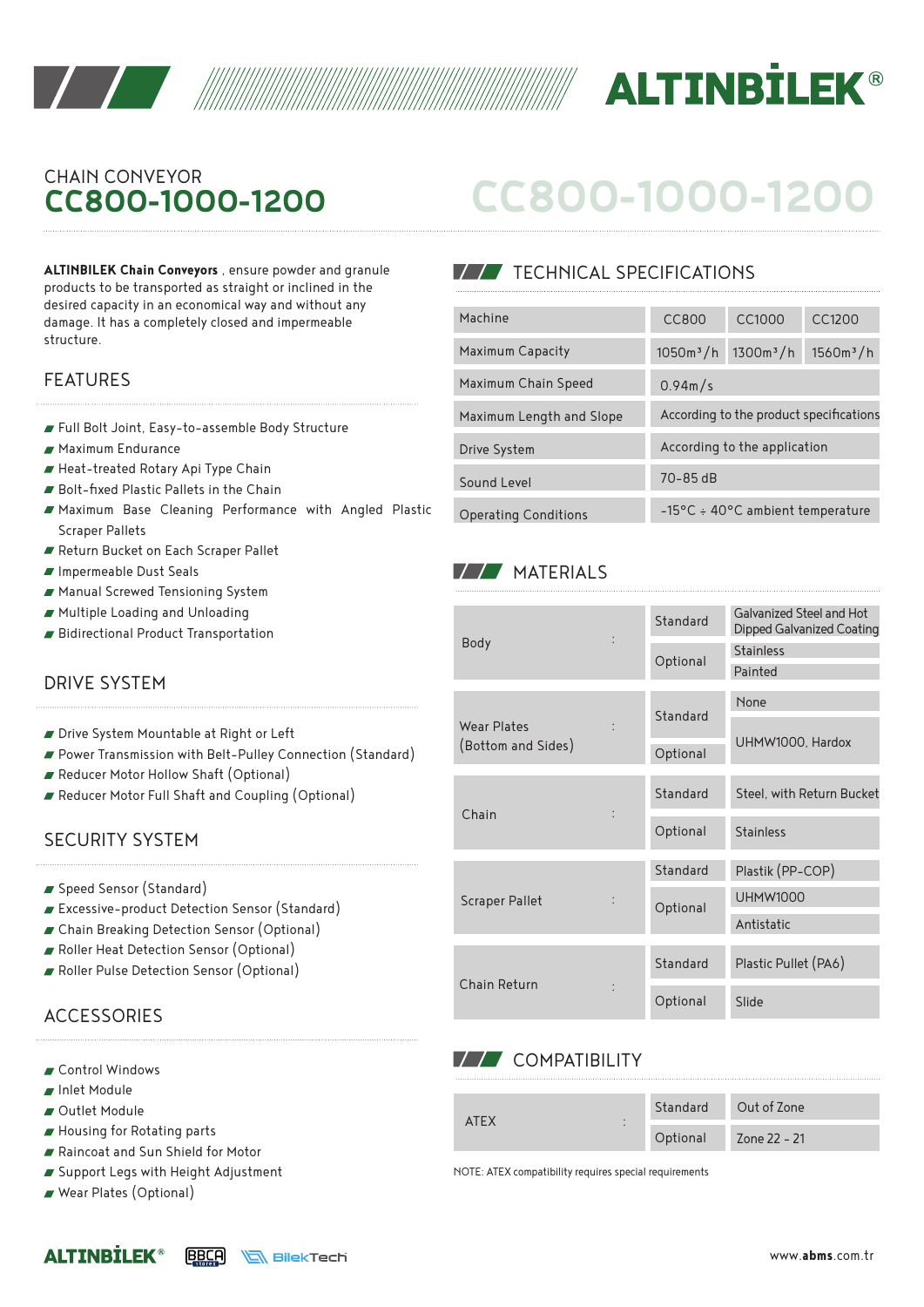



# **CC800-1000-1200** CHAIN CONVEYOR

**ALTINBILEK Chain Conveyors** , ensure powder and granule products to be transported as straight or inclined in the desired capacity in an economical way and without any damage. It has a completely closed and impermeable structure.

#### FEATURES

- Full Bolt Joint, Easy-to-assemble Body Structure
- Maximum Endurance
- Heat-treated Rotary Api Type Chain
- Bolt-fixed Plastic Pallets in the Chain
- Maximum Base Cleaning Performance with Angled Plastic Scraper Pallets
- Return Bucket on Each Scraper Pallet
- Impermeable Dust Seals
- Manual Screwed Tensioning System
- Multiple Loading and Unloading
- Bidirectional Product Transportation

#### DRIVE SYSTEM

- Drive System Mountable at Right or Left
- Power Transmission with Belt-Pulley Connection (Standard)
- Reducer Motor Hollow Shaft (Optional)
- Reducer Motor Full Shaft and Coupling (Optional)

#### SECURITY SYSTEM

- Speed Sensor (Standard)
- Excessive-product Detection Sensor (Standard)
- Chain Breaking Detection Sensor (Optional)
- Roller Heat Detection Sensor (Optional)
- Roller Pulse Detection Sensor (Optional)

## **ACCESSORIES**

- Control Windows
- Inlet Module
- Outlet Module
- Housing for Rotating parts
- Raincoat and Sun Shield for Motor
- Support Legs with Height Adjustment
- Wear Plates (Optional)

|  |  |  |  |  |  |  | CC800-1000-1200 |  |
|--|--|--|--|--|--|--|-----------------|--|
|--|--|--|--|--|--|--|-----------------|--|

## **TECHNICAL SPECIFICATIONS**

| Machine                     | CC800                                   | CC1000                                     | C <sub>C</sub> 1200 |  |  |
|-----------------------------|-----------------------------------------|--------------------------------------------|---------------------|--|--|
| Maximum Capacity            | $1050m^3/h$                             | $1300m^3/h$                                | $1560m^3/h$         |  |  |
| Maximum Chain Speed         | 0.94m/s                                 |                                            |                     |  |  |
| Maximum Length and Slope    | According to the product specifications |                                            |                     |  |  |
| Drive System                |                                         | According to the application               |                     |  |  |
| Sound Level                 | $70 - 85$ dB                            |                                            |                     |  |  |
| <b>Operating Conditions</b> |                                         | $-15^{\circ}$ C ÷ 40°C ambient temperature |                     |  |  |

#### **MATERIALS**

|                       | Standard | Galvanized Steel and Hot<br>Dipped Galvanized Coating |  |  |
|-----------------------|----------|-------------------------------------------------------|--|--|
| Body                  | Optional | <b>Stainless</b><br>Painted                           |  |  |
|                       |          | None                                                  |  |  |
| Wear Plates           | Standard |                                                       |  |  |
| (Bottom and Sides)    |          | UHMW1000, Hardox                                      |  |  |
|                       | Optional |                                                       |  |  |
|                       | Standard | Steel, with Return Bucket                             |  |  |
| Chain                 | Optional | <b>Stainless</b>                                      |  |  |
|                       | Standard | Plastik (PP-COP)                                      |  |  |
| <b>Scraper Pallet</b> | Optional | <b>UHMW1000</b>                                       |  |  |
|                       |          | Antistatic                                            |  |  |
|                       | Standard | Plastic Pullet (PA6)                                  |  |  |
| Chain Return          | Optional | Slide                                                 |  |  |

#### **VV** COMPATIBILITY

| $\triangle$ FX<br>$\cdot$ |          | Standard Out of Zone |
|---------------------------|----------|----------------------|
| $\cdot$                   | Optional | Zone 22 - 21         |

NOTE: ATEX compatibility requires special requirements

#### **ALTINBİLEK® BBCA SilekTech**